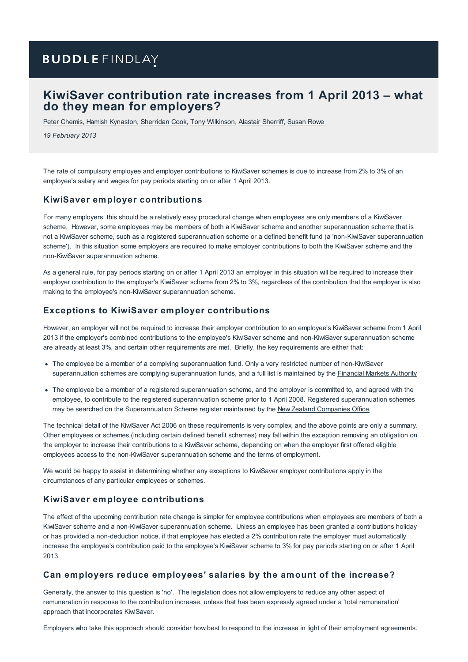# **BUDDLE FINDLAY**

# **KiwiSaver contribution rate increases from 1 April 2013 – what do they mean for employers?**

Peter [Chemis](https://www.buddlefindlay.com/people/peter-chemis/), Hamish [Kynaston](https://www.buddlefindlay.com/people/hamish-kynaston/), [Sherridan](https://www.buddlefindlay.com/people/sherridan-cook/) Cook, Tony [Wilkinson](https://www.buddlefindlay.com/people/tony-wilkinson/), [Alastair](https://www.buddlefindlay.com/people/alastair-sherriff/) Sherriff, [Susan](https://www.buddlefindlay.com/people/susan-rowe/) Rowe

*19 February 2013*

The rate of compulsory employee and employer contributions to KiwiSaver schemes is due to increase from 2% to 3% of an employee's salary and wages for pay periods starting on or after 1 April 2013.

#### **KiwiSaver employer contributions**

For many employers, this should be a relatively easy procedural change when employees are only members of a KiwiSaver scheme. However, some employees may be members of both a KiwiSaver scheme and another superannuation scheme that is not a KiwiSaver scheme, such as a registered superannuation scheme or a defined benefit fund (a 'non-KiwiSaver superannuation scheme'). In this situation some employers are required to make employer contributions to both the KiwiSaver scheme and the non-KiwiSaver superannuation scheme.

As a general rule, for pay periods starting on or after 1 April 2013 an employer in this situation will be required to increase their employer contribution to the employer's KiwiSaver scheme from 2% to 3%, regardless of the contribution that the employer is also making to the employee's non-KiwiSaver superannuation scheme.

#### **Exceptions to KiwiSaver employer contributions**

However, an employer will not be required to increase their employer contribution to an employee's KiwiSaver scheme from 1 April 2013 if the employer's combined contributions to the employee's KiwiSaver scheme and non-KiwiSaver superannuation scheme are already at least 3%, and certain other requirements are met. Briefly, the key requirements are either that:

- The employee be a member of a complying superannuation fund. Only a very restricted number of non-KiwiSaver superannuation schemes are complying superannuation funds, and a full list is maintained by the **[Financial](http://www.fma.govt.nz/media/1340771/complying_super_fund_register.pdf) Markets Authority**
- The employee be a member of a registered superannuation scheme, and the employer is committed to, and agreed with the employee, to contribute to the registered superannuation scheme prior to 1 April 2008. Registered superannuation schemes may be searched on the Superannuation Scheme register maintained by the New Zealand [Companies](http://www.business.govt.nz/companies/app/ui/pages/companies/otherSearch) Office.

The technical detail of the KiwiSaver Act 2006 on these requirements is very complex, and the above points are only a summary. Other employees or schemes (including certain defined benefit schemes) may fall within the exception removing an obligation on the employer to increase their contributions to a KiwiSaver scheme, depending on when the employer first offered eligible employees access to the non-KiwiSaver superannuation scheme and the terms of employment.

We would be happy to assist in determining whether any exceptions to KiwiSaver employer contributions apply in the circumstances of any particular employees or schemes.

#### **KiwiSaver employee contributions**

The effect of the upcoming contribution rate change is simpler for employee contributions when employees are members of both a KiwiSaver scheme and a non-KiwiSaver superannuation scheme. Unless an employee has been granted a contributions holiday or has provided a non-deduction notice, if that employee has elected a 2% contribution rate the employer must automatically increase the employee's contribution paid to the employee's KiwiSaver scheme to 3% for pay periods starting on or after 1 April 2013.

#### **Can employers reduce employees' salaries by the amount of the increase?**

Generally, the answer to this question is 'no'. The legislation does not allow employers to reduce any other aspect of remuneration in response to the contribution increase, unless that has been expressly agreed under a 'total remuneration' approach that incorporates KiwiSaver.

Employers who take this approach should consider how best to respond to the increase in light of their employment agreements.